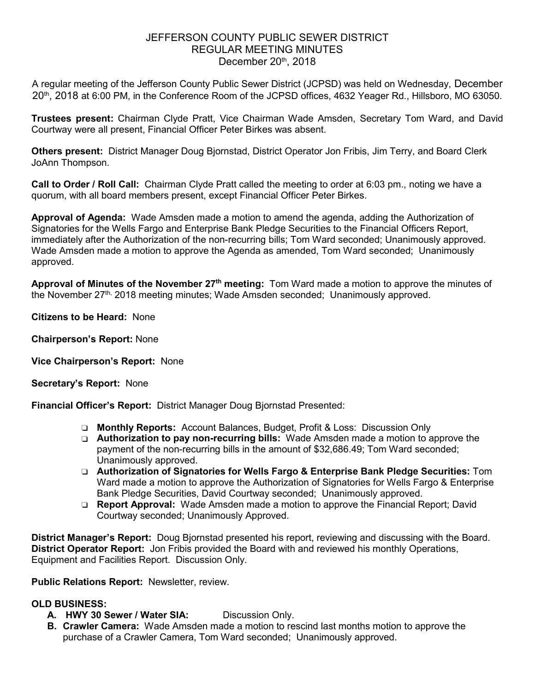## JEFFERSON COUNTY PUBLIC SEWER DISTRICT REGULAR MEETING MINUTES December  $20<sup>th</sup>$ , 2018

A regular meeting of the Jefferson County Public Sewer District (JCPSD) was held on Wednesday, December 20<sup>th</sup>, 2018 at 6:00 PM, in the Conference Room of the JCPSD offices, 4632 Yeager Rd., Hillsboro, MO 63050.

**Trustees present:** Chairman Clyde Pratt, Vice Chairman Wade Amsden, Secretary Tom Ward, and David Courtway were all present, Financial Officer Peter Birkes was absent.

**Others present:** District Manager Doug Bjornstad, District Operator Jon Fribis, Jim Terry, and Board Clerk JoAnn Thompson.

**Call to Order / Roll Call:** Chairman Clyde Pratt called the meeting to order at 6:03 pm., noting we have a quorum, with all board members present, except Financial Officer Peter Birkes.

**Approval of Agenda:** Wade Amsden made a motion to amend the agenda, adding the Authorization of Signatories for the Wells Fargo and Enterprise Bank Pledge Securities to the Financial Officers Report, immediately after the Authorization of the non-recurring bills; Tom Ward seconded; Unanimously approved. Wade Amsden made a motion to approve the Agenda as amended, Tom Ward seconded; Unanimously approved.

**Approval of Minutes of the November 27th meeting:** Tom Ward made a motion to approve the minutes of the November 27<sup>th,</sup> 2018 meeting minutes; Wade Amsden seconded; Unanimously approved.

**Citizens to be Heard:** None

- **Chairperson's Report:** None
- **Vice Chairperson's Report:** None

**Secretary's Report:** None

**Financial Officer's Report:** District Manager Doug Bjornstad Presented:

- ❏ **Monthly Reports:** Account Balances, Budget, Profit & Loss: Discussion Only
- ❏ **Authorization to pay non-recurring bills:** Wade Amsden made a motion to approve the payment of the non-recurring bills in the amount of \$32,686.49; Tom Ward seconded; Unanimously approved.
- ❏ **Authorization of Signatories for Wells Fargo & Enterprise Bank Pledge Securities:** Tom Ward made a motion to approve the Authorization of Signatories for Wells Fargo & Enterprise Bank Pledge Securities, David Courtway seconded; Unanimously approved.
- ❏ **Report Approval:** Wade Amsden made a motion to approve the Financial Report; David Courtway seconded; Unanimously Approved.

**District Manager's Report:** Doug Bjornstad presented his report, reviewing and discussing with the Board. **District Operator Report:** Jon Fribis provided the Board with and reviewed his monthly Operations, Equipment and Facilities Report. Discussion Only.

**Public Relations Report:** Newsletter, review.

## **OLD BUSINESS:**

- **A. HWY 30 Sewer / Water SIA:** Discussion Only.
- **B. Crawler Camera:** Wade Amsden made a motion to rescind last months motion to approve the purchase of a Crawler Camera, Tom Ward seconded; Unanimously approved.